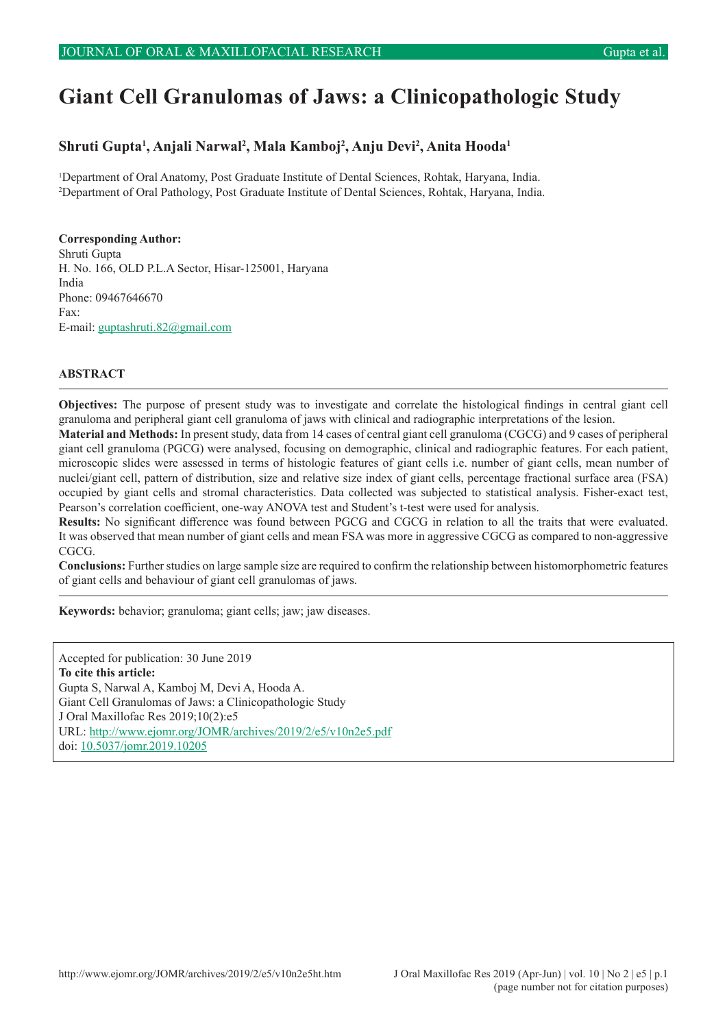# **Giant Cell Granulomas of Jaws: a Clinicopathologic Study**

# **Shruti Gupta1 , Anjali Narwal2 , Mala Kamboj2 , Anju Devi2 , Anita Hooda1**

1 Department of Oral Anatomy, Post Graduate Institute of Dental Sciences, Rohtak, Haryana, India. 2 Department of Oral Pathology, Post Graduate Institute of Dental Sciences, Rohtak, Haryana, India.

#### **Corresponding Author:**

Shruti Gupta H. No. 166, OLD P.L.A Sector, Hisar-125001, Haryana India Phone: 09467646670 Fax: E-mail: [guptashruti.82@gmail.com](mailto:guptashruti.82%40gmail.com?subject=)

#### **ABSTRACT**

**Objectives:** The purpose of present study was to investigate and correlate the histological findings in central giant cell granuloma and peripheral giant cell granuloma of jaws with clinical and radiographic interpretations of the lesion. **Material and Methods:** In present study, data from 14 cases of central giant cell granuloma (CGCG) and 9 cases of peripheral

giant cell granuloma (PGCG) were analysed, focusing on demographic, clinical and radiographic features. For each patient, microscopic slides were assessed in terms of histologic features of giant cells i.e. number of giant cells, mean number of nuclei/giant cell, pattern of distribution, size and relative size index of giant cells, percentage fractional surface area (FSA) occupied by giant cells and stromal characteristics. Data collected was subjected to statistical analysis. Fisher-exact test, Pearson's correlation coefficient, one-way ANOVA test and Student's t-test were used for analysis.

**Results:** No significant difference was found between PGCG and CGCG in relation to all the traits that were evaluated. It was observed that mean number of giant cells and mean FSA was more in aggressive CGCG as compared to non-aggressive CGCG.

**Conclusions:** Further studies on large sample size are required to confirm the relationship between histomorphometric features of giant cells and behaviour of giant cell granulomas of jaws.

**Keywords:** behavior; granuloma; giant cells; jaw; jaw diseases.

Accepted for publication: 30 June 2019 **To cite this article:** Gupta S, Narwal A, Kamboj M, Devi A, Hooda A. Giant Cell Granulomas of Jaws: a Clinicopathologic Study J Oral Maxillofac Res 2019;10(2):e5 URL:<http://www.ejomr.org/JOMR/archives/2019/2/e5/v10n2e5.pdf> doi: [10.5037/jomr.2019.10205](http://dx.doi.org/10.5037/jomr.2019.10205)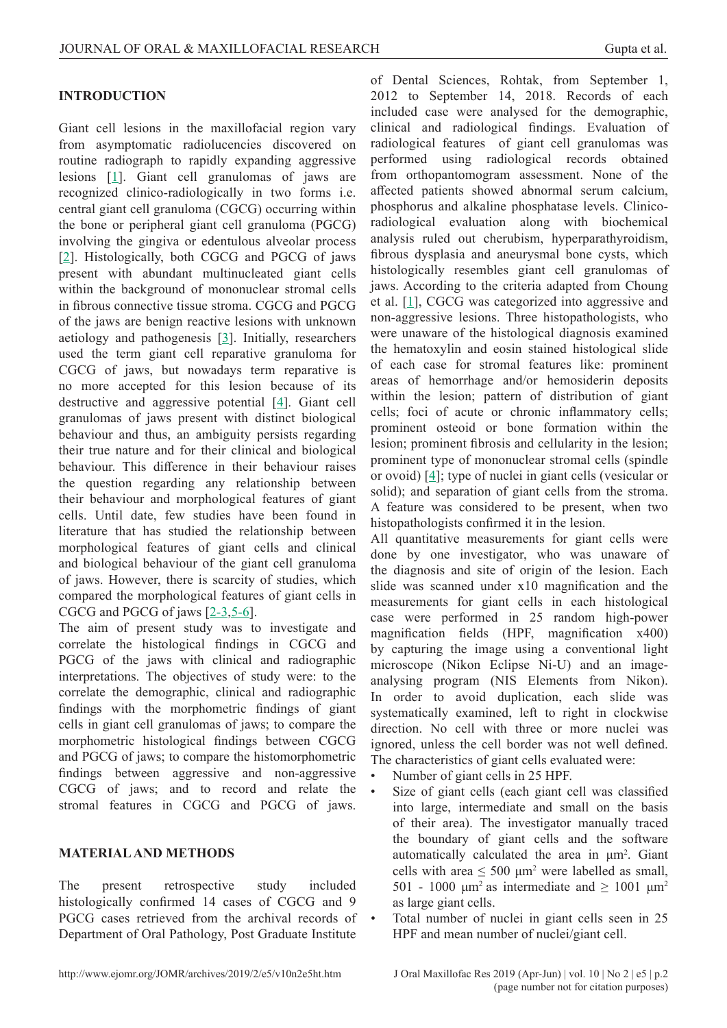### **INTRODUCTION**

Giant cell lesions in the maxillofacial region vary from asymptomatic radiolucencies discovered on routine radiograph to rapidly expanding aggressive lesions [\[1\]](#page-7-0). Giant cell granulomas of jaws are recognized clinico-radiologically in two forms i.e. central giant cell granuloma (CGCG) occurring within the bone or peripheral giant cell granuloma (PGCG) involving the gingiva or edentulous alveolar process [[2](#page-7-0)]. Histologically, both CGCG and PGCG of jaws present with abundant multinucleated giant cells within the background of mononuclear stromal cells in fibrous connective tissue stroma. CGCG and PGCG of the jaws are benign reactive lesions with unknown aetiology and pathogenesis [[3\]](#page-7-0). Initially, researchers used the term giant cell reparative granuloma for CGCG of jaws, but nowadays term reparative is no more accepted for this lesion because of its destructive and aggressive potential [[4](#page-7-0)]. Giant cell granulomas of jaws present with distinct biological behaviour and thus, an ambiguity persists regarding their true nature and for their clinical and biological behaviour. This difference in their behaviour raises the question regarding any relationship between their behaviour and morphological features of giant cells. Until date, few studies have been found in literature that has studied the relationship between morphological features of giant cells and clinical and biological behaviour of the giant cell granuloma of jaws. However, there is scarcity of studies, which compared the morphological features of giant cells in CGCG and PGCG of jaws [[2-3,](#page-7-0)[5-6](#page-8-0)].

The aim of present study was to investigate and correlate the histological findings in CGCG and PGCG of the jaws with clinical and radiographic interpretations. The objectives of study were: to the correlate the demographic, clinical and radiographic findings with the morphometric findings of giant cells in giant cell granulomas of jaws; to compare the morphometric histological findings between CGCG and PGCG of jaws; to compare the histomorphometric findings between aggressive and non-aggressive CGCG of jaws; and to record and relate the stromal features in CGCG and PGCG of jaws.

#### **MATERIAL AND METHODS**

The present retrospective study included histologically confirmed 14 cases of CGCG and 9 PGCG cases retrieved from the archival records of Department of Oral Pathology, Post Graduate Institute

of Dental Sciences, Rohtak, from September 1, 2012 to September 14, 2018. Records of each included case were analysed for the demographic, clinical and radiological findings. Evaluation of radiological features of giant cell granulomas was performed using radiological records obtained from orthopantomogram assessment. None of the affected patients showed abnormal serum calcium, phosphorus and alkaline phosphatase levels. Clinicoradiological evaluation along with biochemical analysis ruled out cherubism, hyperparathyroidism, fibrous dysplasia and aneurysmal bone cysts, which histologically resembles giant cell granulomas of jaws. According to the criteria adapted from Choung et al.  $[1]$  $[1]$  $[1]$ , CGCG was categorized into aggressive and non-aggressive lesions. Three histopathologists, who were unaware of the histological diagnosis examined the hematoxylin and eosin stained histological slide of each case for stromal features like: prominent areas of hemorrhage and/or hemosiderin deposits within the lesion; pattern of distribution of giant cells; foci of acute or chronic inflammatory cells; prominent osteoid or bone formation within the lesion; prominent fibrosis and cellularity in the lesion; prominent type of mononuclear stromal cells (spindle or ovoid) [\[4](#page-7-0)]; type of nuclei in giant cells (vesicular or solid); and separation of giant cells from the stroma. A feature was considered to be present, when two histopathologists confirmed it in the lesion.

All quantitative measurements for giant cells were done by one investigator, who was unaware of the diagnosis and site of origin of the lesion. Each slide was scanned under x10 magnification and the measurements for giant cells in each histological case were performed in 25 random high-power magnification fields (HPF, magnification x400) by capturing the image using a conventional light microscope (Nikon Eclipse Ni-U) and an imageanalysing program (NIS Elements from Nikon). In order to avoid duplication, each slide was systematically examined, left to right in clockwise direction. No cell with three or more nuclei was ignored, unless the cell border was not well defined. The characteristics of giant cells evaluated were:

- Number of giant cells in 25 HPF.
- Size of giant cells (each giant cell was classified into large, intermediate and small on the basis of their area). The investigator manually traced the boundary of giant cells and the software automatically calculated the area in  $\mu$ m<sup>2</sup>. Giant cells with area  $\leq 500 \mu m^2$  were labelled as small, 501 - 1000  $\mu$ m<sup>2</sup> as intermediate and  $\geq 1001 \mu$ m<sup>2</sup> as large giant cells.
- Total number of nuclei in giant cells seen in 25 HPF and mean number of nuclei/giant cell.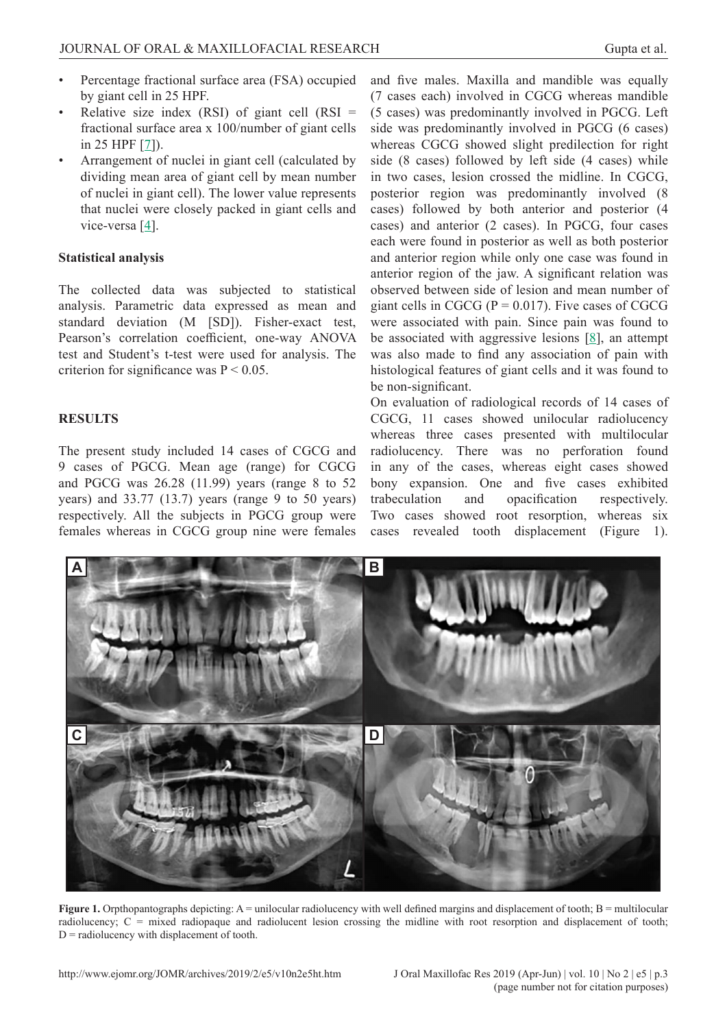- Percentage fractional surface area (FSA) occupied by giant cell in 25 HPF.
- Relative size index (RSI) of giant cell  $(RSI)$  = fractional surface area x 100/number of giant cells in 25 HPF [\[7\]](#page-8-0)).
- Arrangement of nuclei in giant cell (calculated by dividing mean area of giant cell by mean number of nuclei in giant cell). The lower value represents that nuclei were closely packed in giant cells and vice-versa [\[4\]](#page-7-0).

### **Statistical analysis**

The collected data was subjected to statistical analysis. Parametric data expressed as mean and standard deviation (M [SD]). Fisher-exact test, Pearson's correlation coefficient, one-way ANOVA test and Student's t-test were used for analysis. The criterion for significance was  $P < 0.05$ .

## **RESULTS**

The present study included 14 cases of CGCG and 9 cases of PGCG. Mean age (range) for CGCG and PGCG was 26.28 (11.99) years (range 8 to 52 years) and 33.77 (13.7) years (range 9 to 50 years) respectively. All the subjects in PGCG group were females whereas in CGCG group nine were females and five males. Maxilla and mandible was equally (7 cases each) involved in CGCG whereas mandible (5 cases) was predominantly involved in PGCG. Left side was predominantly involved in PGCG (6 cases) whereas CGCG showed slight predilection for right side (8 cases) followed by left side (4 cases) while in two cases, lesion crossed the midline. In CGCG, posterior region was predominantly involved (8 cases) followed by both anterior and posterior (4 cases) and anterior (2 cases). In PGCG, four cases each were found in posterior as well as both posterior and anterior region while only one case was found in anterior region of the jaw. A significant relation was observed between side of lesion and mean number of giant cells in CGCG ( $P = 0.017$ ). Five cases of CGCG were associated with pain. Since pain was found to be associated with aggressive lesions  $[8]$  $[8]$  $[8]$ , an attempt was also made to find any association of pain with histological features of giant cells and it was found to be non-significant.

On evaluation of radiological records of 14 cases of CGCG, 11 cases showed unilocular radiolucency whereas three cases presented with multilocular radiolucency. There was no perforation found in any of the cases, whereas eight cases showed bony expansion. One and five cases exhibited trabeculation and opacification respectively. Two cases showed root resorption, whereas six cases revealed tooth displacement (Figure 1).



**Figure 1.** Orpthopantographs depicting: A = unilocular radiolucency with well defined margins and displacement of tooth; B = multilocular radiolucency; C = mixed radiopaque and radiolucent lesion crossing the midline with root resorption and displacement of tooth;  $D$  = radiolucency with displacement of tooth.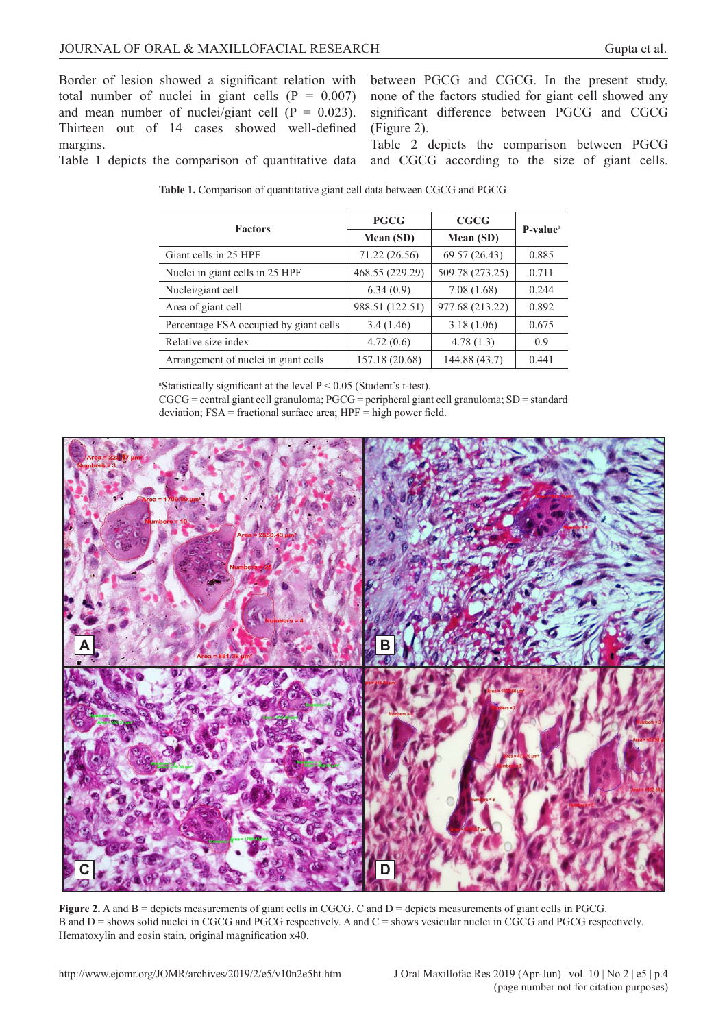Border of lesion showed a significant relation with total number of nuclei in giant cells  $(P = 0.007)$ and mean number of nuclei/giant cell ( $P = 0.023$ ). Thirteen out of 14 cases showed well-defined margins. Table 1 depicts the comparison of quantitative data between PGCG and CGCG. In the present study, none of the factors studied for giant cell showed any significant difference between PGCG and CGCG (Figure 2).

Table 2 depicts the comparison between PGCG and CGCG according to the size of giant cells.

| <b>Factors</b>                         | <b>PGCG</b>     | CGCG            | P-value <sup>a</sup> |  |
|----------------------------------------|-----------------|-----------------|----------------------|--|
|                                        | Mean (SD)       | Mean (SD)       |                      |  |
| Giant cells in 25 HPF                  | 71.22 (26.56)   | 69.57 (26.43)   | 0.885                |  |
| Nuclei in giant cells in 25 HPF        | 468.55 (229.29) | 509.78 (273.25) | 0.711                |  |
| Nuclei/giant cell                      | 6.34(0.9)       | 7.08(1.68)      | 0.244                |  |
| Area of giant cell                     | 988.51 (122.51) | 977.68 (213.22) | 0.892                |  |
| Percentage FSA occupied by giant cells | 3.4(1.46)       | 3.18(1.06)      | 0.675                |  |
| Relative size index                    | 4.72(0.6)       | 4.78(1.3)       | 0.9                  |  |
| Arrangement of nuclei in giant cells   | 157.18 (20.68)  | 144.88 (43.7)   | 0.441                |  |

**Table 1.** Comparison of quantitative giant cell data between CGCG and PGCG

<sup>a</sup>Statistically significant at the level  $P < 0.05$  (Student's t-test).

CGCG = central giant cell granuloma; PGCG = peripheral giant cell granuloma; SD = standard deviation; FSA = fractional surface area; HPF = high power field.



Figure 2. A and B = depicts measurements of giant cells in CGCG. C and D = depicts measurements of giant cells in PGCG. B and  $D =$  shows solid nuclei in CGCG and PGCG respectively. A and  $C =$  shows vesicular nuclei in CGCG and PGCG respectively. Hematoxylin and eosin stain, original magnification x40.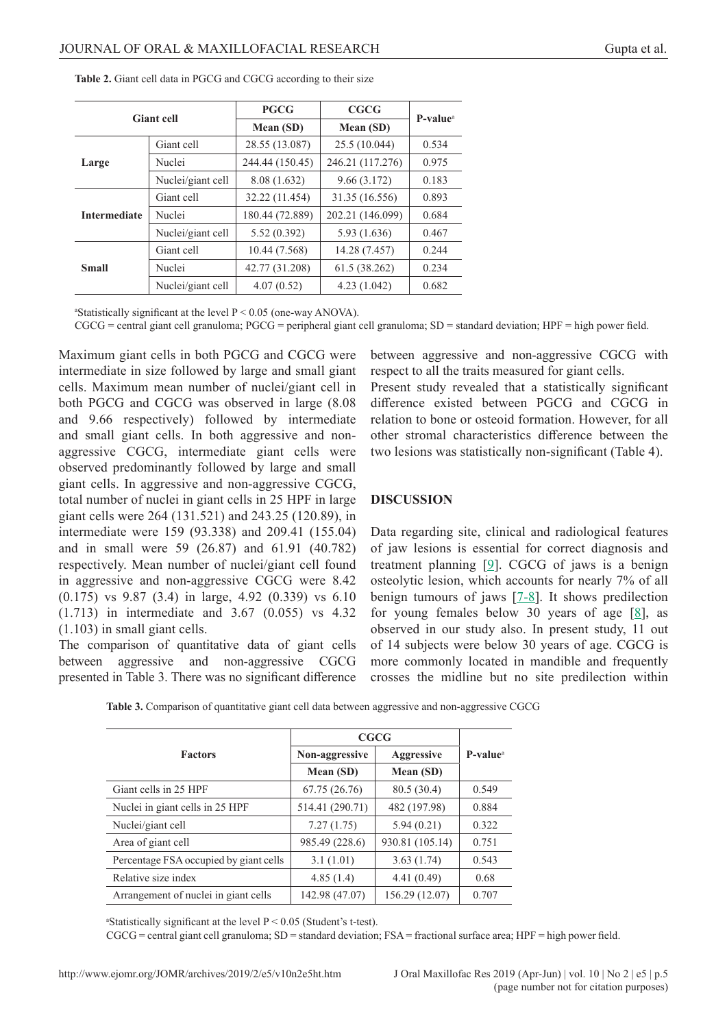| <b>Giant cell</b>   |                              | <b>PGCG</b>     | <b>CGCG</b>      | $P-valuea$ |  |
|---------------------|------------------------------|-----------------|------------------|------------|--|
|                     |                              | Mean (SD)       | Mean (SD)        |            |  |
| Large               | 28.55 (13.087)<br>Giant cell |                 | 25.5 (10.044)    | 0.534      |  |
|                     | Nuclei                       | 244.44 (150.45) | 246.21 (117.276) | 0.975      |  |
|                     | Nuclei/giant cell            | 8.08 (1.632)    | 9.66(3.172)      | 0.183      |  |
| <b>Intermediate</b> | Giant cell                   | 32.22 (11.454)  | 31.35 (16.556)   | 0.893      |  |
|                     | Nuclei                       | 180.44 (72.889) | 202.21 (146.099) | 0.684      |  |
|                     | Nuclei/giant cell            | 5.52(0.392)     | 5.93 (1.636)     | 0.467      |  |
| <b>Small</b>        | Giant cell                   | 10.44 (7.568)   | 14.28 (7.457)    | 0.244      |  |
|                     | Nuclei                       | 42.77 (31.208)  | 61.5 (38.262)    | 0.234      |  |
|                     | Nuclei/giant cell            | 4.07(0.52)      | 4.23(1.042)      | 0.682      |  |

**Table 2.** Giant cell data in PGCG and CGCG according to their size

aStatistically significant at the level  $P < 0.05$  (one-way ANOVA).

CGCG = central giant cell granuloma; PGCG = peripheral giant cell granuloma; SD = standard deviation; HPF = high power field.

Maximum giant cells in both PGCG and CGCG were intermediate in size followed by large and small giant cells. Maximum mean number of nuclei/giant cell in both PGCG and CGCG was observed in large (8.08 and 9.66 respectively) followed by intermediate and small giant cells. In both aggressive and nonaggressive CGCG, intermediate giant cells were observed predominantly followed by large and small giant cells. In aggressive and non-aggressive CGCG, total number of nuclei in giant cells in 25 HPF in large giant cells were 264 (131.521) and 243.25 (120.89), in intermediate were 159 (93.338) and 209.41 (155.04) and in small were 59 (26.87) and 61.91 (40.782) respectively. Mean number of nuclei/giant cell found in aggressive and non-aggressive CGCG were 8.42 (0.175) vs 9.87 (3.4) in large, 4.92 (0.339) vs 6.10 (1.713) in intermediate and 3.67 (0.055) vs 4.32 (1.103) in small giant cells.

The comparison of quantitative data of giant cells between aggressive and non-aggressive CGCG presented in Table 3. There was no significant difference between aggressive and non-aggressive CGCG with respect to all the traits measured for giant cells.

Present study revealed that a statistically significant difference existed between PGCG and CGCG in relation to bone or osteoid formation. However, for all other stromal characteristics difference between the two lesions was statistically non-significant (Table 4).

#### **DISCUSSION**

Data regarding site, clinical and radiological features of jaw lesions is essential for correct diagnosis and treatment planning [\[9\]](#page-8-0). CGCG of jaws is a benign osteolytic lesion, which accounts for nearly 7% of all benign tumours of jaws  $[7-8]$  $[7-8]$ . It shows predilection for young females below 30 years of age [[8](#page-8-0)], as observed in our study also. In present study, 11 out of 14 subjects were below 30 years of age. CGCG is more commonly located in mandible and frequently crosses the midline but no site predilection within

|                                        | CGCG            |                 |            |
|----------------------------------------|-----------------|-----------------|------------|
| <b>Factors</b>                         | Non-aggressive  | Aggressive      | $P-valuea$ |
|                                        | Mean (SD)       | Mean (SD)       |            |
| Giant cells in 25 HPF                  | 67.75(26.76)    | 80.5 (30.4)     | 0.549      |
| Nuclei in giant cells in 25 HPF        | 514.41 (290.71) | 482 (197.98)    | 0.884      |
| Nuclei/giant cell                      | 7.27(1.75)      | 5.94(0.21)      | 0.322      |
| Area of giant cell                     | 985.49 (228.6)  | 930.81 (105.14) | 0.751      |
| Percentage FSA occupied by giant cells | 3.1(1.01)       | 3.63(1.74)      | 0.543      |
| Relative size index                    | 4.85(1.4)       | 4.41(0.49)      | 0.68       |
| Arrangement of nuclei in giant cells   | 142.98 (47.07)  | 156.29 (12.07)  | 0.707      |

**Table 3.** Comparison of quantitative giant cell data between aggressive and non-aggressive CGCG

<sup>a</sup>Statistically significant at the level  $P < 0.05$  (Student's t-test).

CGCG = central giant cell granuloma; SD = standard deviation; FSA = fractional surface area; HPF = high power field.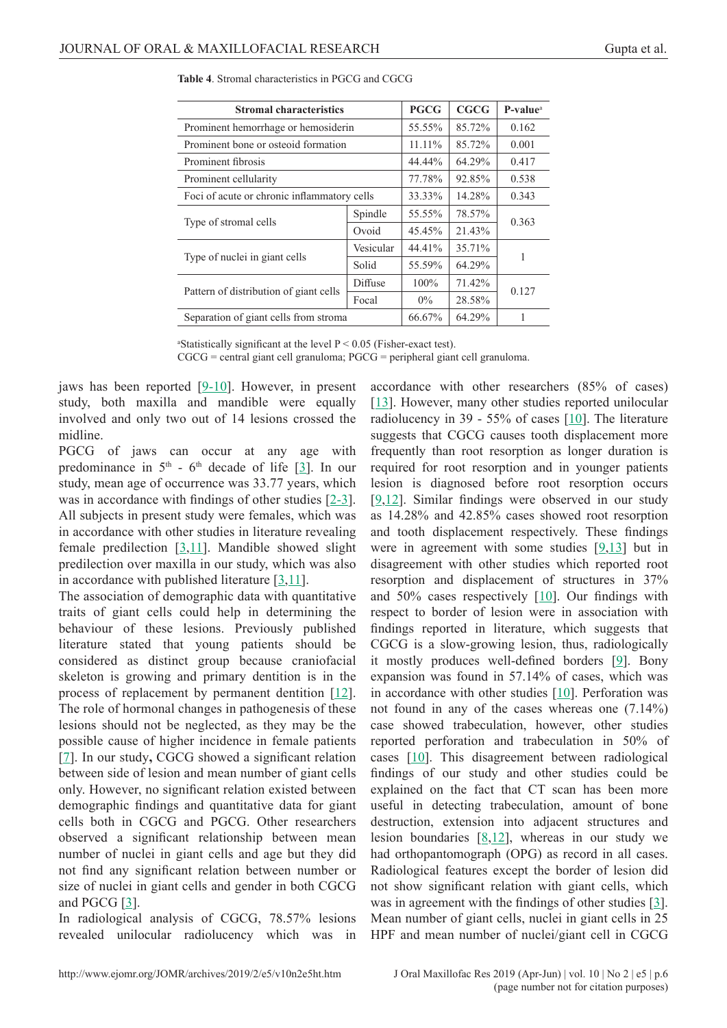| <b>Stromal characteristics</b>              | <b>PGCG</b> | <b>CGCG</b> | P-value <sup>a</sup> |       |  |
|---------------------------------------------|-------------|-------------|----------------------|-------|--|
| Prominent hemorrhage or hemosiderin         |             | 55.55%      | 85.72%               | 0.162 |  |
| Prominent bone or osteoid formation         |             | $11.11\%$   | 85.72%               | 0.001 |  |
| Prominent fibrosis                          | 44.44%      | 64.29%      | 0.417                |       |  |
| Prominent cellularity                       | 77.78%      | 92.85%      | 0.538                |       |  |
| Foci of acute or chronic inflammatory cells | 33.33%      | 14.28%      | 0.343                |       |  |
| Type of stromal cells                       | Spindle     | 55.55%      | 78.57%               | 0.363 |  |
|                                             | Ovoid       | 45.45%      | 21.43%               |       |  |
| Type of nuclei in giant cells               | Vesicular   | 44.41%      | 35.71%               | 1     |  |
|                                             | Solid       | 55.59%      | 64.29%               |       |  |
| Pattern of distribution of giant cells      | Diffuse     | 100%        | 71.42%               | 0.127 |  |
|                                             | Focal       | $0\%$       | 28.58%               |       |  |
| Separation of giant cells from stroma       |             | 66.67%      | 64.29%               | 1     |  |

**Table 4**. Stromal characteristics in PGCG and CGCG

<sup>a</sup>Statistically significant at the level  $P < 0.05$  (Fisher-exact test).

 $CGCG = central giant cell granuloma; PGCG = peripheral giant cell granuloma.$ 

jaws has been reported [[9-10\]](#page-8-0). However, in present study, both maxilla and mandible were equally involved and only two out of 14 lesions crossed the midline.

PGCG of jaws can occur at any age with predominance in  $5<sup>th</sup>$  - 6<sup>th</sup> decade of life [\[3\]](#page-7-0). In our study, mean age of occurrence was 33.77 years, which was in accordance with findings of other studies [[2-3](#page-7-0)]. All subjects in present study were females, which was in accordance with other studies in literature revealing female predilection  $[3,11]$  $[3,11]$  $[3,11]$  $[3,11]$ . Mandible showed slight predilection over maxilla in our study, which was also in accordance with published literature  $[3,11]$  $[3,11]$  $[3,11]$ .

The association of demographic data with quantitative traits of giant cells could help in determining the behaviour of these lesions. Previously published literature stated that young patients should be considered as distinct group because craniofacial skeleton is growing and primary dentition is in the process of replacement by permanent dentition [\[12](#page-8-0)]. The role of hormonal changes in pathogenesis of these lesions should not be neglected, as they may be the possible cause of higher incidence in female patients [[7](#page-8-0)]. In our study, CGCG showed a significant relation between side of lesion and mean number of giant cells only. However, no significant relation existed between demographic findings and quantitative data for giant cells both in CGCG and PGCG. Other researchers observed a significant relationship between mean number of nuclei in giant cells and age but they did not find any significant relation between number or size of nuclei in giant cells and gender in both CGCG and PGCG [[3](#page-7-0)].

In radiological analysis of CGCG, 78.57% lesions revealed unilocular radiolucency which was in accordance with other researchers (85% of cases) [\[13](#page-8-0)]. However, many other studies reported unilocular radiolucency in 39 - 55% of cases  $[10]$  $[10]$ . The literature suggests that CGCG causes tooth displacement more frequently than root resorption as longer duration is required for root resorption and in younger patients lesion is diagnosed before root resorption occurs [\[9,12](#page-8-0)]. Similar findings were observed in our study as 14.28% and 42.85% cases showed root resorption and tooth displacement respectively. These findings were in agreement with some studies  $[9,13]$  but in disagreement with other studies which reported root resorption and displacement of structures in 37% and 50% cases respectively [\[10](#page-8-0)]. Our findings with respect to border of lesion were in association with findings reported in literature, which suggests that CGCG is a slow-growing lesion, thus, radiologically it mostly produces well-defined borders [[9](#page-8-0)]. Bony expansion was found in 57.14% of cases, which was in accordance with other studies  $[10]$  $[10]$ . Perforation was not found in any of the cases whereas one (7.14%) case showed trabeculation, however, other studies reported perforation and trabeculation in 50% of cases [[10\]](#page-8-0). This disagreement between radiological findings of our study and other studies could be explained on the fact that CT scan has been more useful in detecting trabeculation, amount of bone destruction, extension into adjacent structures and lesion boundaries  $[8,12]$ , whereas in our study we had orthopantomograph (OPG) as record in all cases. Radiological features except the border of lesion did not show significant relation with giant cells, which was in agreement with the findings of other studies [[3\]](#page-7-0). Mean number of giant cells, nuclei in giant cells in 25 HPF and mean number of nuclei/giant cell in CGCG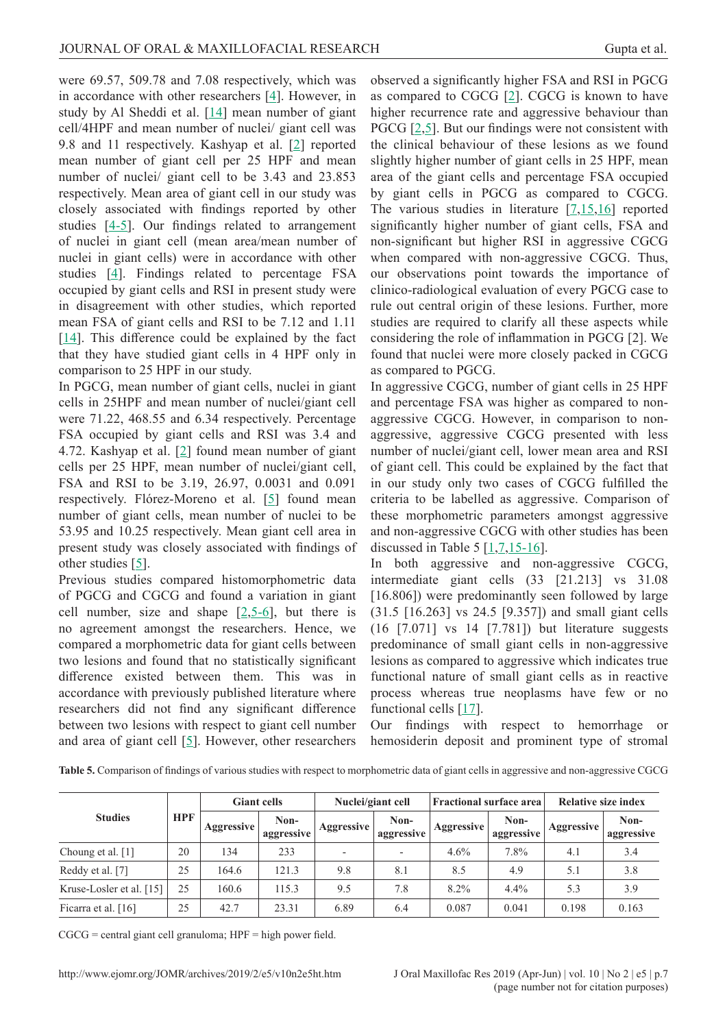were 69.57, 509.78 and 7.08 respectively, which was in accordance with other researchers [[4](#page-7-0)]. However, in study by Al Sheddi et al. [\[14](#page-8-0)] mean number of giant cell/4HPF and mean number of nuclei/ giant cell was 9.8 and 11 respectively. Kashyap et al. [\[2\]](#page-7-0) reported mean number of giant cell per 25 HPF and mean number of nuclei/ giant cell to be 3.43 and 23.853 respectively. Mean area of giant cell in our study was closely associated with findings reported by other studies [\[4-5](#page-7-0)]. Our findings related to arrangement of nuclei in giant cell (mean area/mean number of nuclei in giant cells) were in accordance with other studies [\[4\]](#page-7-0). Findings related to percentage FSA occupied by giant cells and RSI in present study were in disagreement with other studies, which reported mean FSA of giant cells and RSI to be 7.12 and 1.11 [[14](#page-8-0)]. This difference could be explained by the fact that they have studied giant cells in 4 HPF only in comparison to 25 HPF in our study.

In PGCG, mean number of giant cells, nuclei in giant cells in 25HPF and mean number of nuclei/giant cell were 71.22, 468.55 and 6.34 respectively. Percentage FSA occupied by giant cells and RSI was 3.4 and 4.72. Kashyap et al. [\[2\]](#page-7-0) found mean number of giant cells per 25 HPF, mean number of nuclei/giant cell, FSA and RSI to be 3.19, 26.97, 0.0031 and 0.091 respectively. Flórez-Moreno et al. [[5](#page-8-0)] found mean number of giant cells, mean number of nuclei to be 53.95 and 10.25 respectively. Mean giant cell area in present study was closely associated with findings of other studies [\[5\]](#page-8-0).

Previous studies compared histomorphometric data of PGCG and CGCG and found a variation in giant cell number, size and shape [\[2,](#page-7-0)[5-6\]](#page-8-0), but there is no agreement amongst the researchers. Hence, we compared a morphometric data for giant cells between two lesions and found that no statistically significant difference existed between them. This was in accordance with previously published literature where researchers did not find any significant difference between two lesions with respect to giant cell number and area of giant cell [\[5](#page-8-0)]. However, other researchers

observed a significantly higher FSA and RSI in PGCG as compared to CGCG  $[2]$ . CGCG is known to have higher recurrence rate and aggressive behaviour than PGCG [[2](#page-7-0)[,5](#page-8-0)]. But our findings were not consistent with the clinical behaviour of these lesions as we found slightly higher number of giant cells in 25 HPF, mean area of the giant cells and percentage FSA occupied by giant cells in PGCG as compared to CGCG. The various studies in literature [\[7,15,16\]](#page-8-0) reported significantly higher number of giant cells, FSA and non-significant but higher RSI in aggressive CGCG when compared with non-aggressive CGCG. Thus, our observations point towards the importance of clinico-radiological evaluation of every PGCG case to rule out central origin of these lesions. Further, more studies are required to clarify all these aspects while considering the role of inflammation in PGCG [2]. We found that nuclei were more closely packed in CGCG as compared to PGCG.

In aggressive CGCG, number of giant cells in 25 HPF and percentage FSA was higher as compared to nonaggressive CGCG. However, in comparison to nonaggressive, aggressive CGCG presented with less number of nuclei/giant cell, lower mean area and RSI of giant cell. This could be explained by the fact that in our study only two cases of CGCG fulfilled the criteria to be labelled as aggressive. Comparison of these morphometric parameters amongst aggressive and non-aggressive CGCG with other studies has been discussed in Table 5  $[1,7,15-16]$  $[1,7,15-16]$  $[1,7,15-16]$  $[1,7,15-16]$ .

In both aggressive and non-aggressive CGCG, intermediate giant cells (33 [21.213] vs 31.08 [16.806]) were predominantly seen followed by large (31.5 [16.263] vs 24.5 [9.357]) and small giant cells (16 [7.071] vs 14 [7.781]) but literature suggests predominance of small giant cells in non-aggressive lesions as compared to aggressive which indicates true functional nature of small giant cells as in reactive process whereas true neoplasms have few or no functional cells [[17\]](#page-8-0).

Our findings with respect to hemorrhage or hemosiderin deposit and prominent type of stromal

| <b>Studies</b>           | <b>HPF</b> | <b>Giant cells</b> |                    | Nuclei/giant cell        |                          | <b>Fractional surface area</b> |                    | <b>Relative size index</b> |                    |
|--------------------------|------------|--------------------|--------------------|--------------------------|--------------------------|--------------------------------|--------------------|----------------------------|--------------------|
|                          |            | Aggressive         | Non-<br>aggressive | Aggressive               | Non-<br>aggressive       | <b>Aggressive</b>              | Non-<br>aggressive | Aggressive                 | Non-<br>aggressive |
| Choung et al. [1]        | 20         | 134                | 233                | $\overline{\phantom{a}}$ | $\overline{\phantom{a}}$ | $4.6\%$                        | 7.8%               | 4.1                        | 3.4                |
| Reddy et al. [7]         | 25         | 164.6              | 121.3              | 9.8                      | 8.1                      | 8.5                            | 4.9                | 5.1                        | 3.8                |
| Kruse-Losler et al. [15] | 25         | 160.6              | 115.3              | 9.5                      | 7.8                      | $8.2\%$                        | $4.4\%$            | 5.3                        | 3.9                |
| Ficarra et al. [16]      | 25         | 42.7               | 23.31              | 6.89                     | 6.4                      | 0.087                          | 0.041              | 0.198                      | 0.163              |

**Table 5.** Comparison of findings of various studies with respect to morphometric data of giant cells in aggressive and non-aggressive CGCG

CGCG = central giant cell granuloma; HPF = high power field.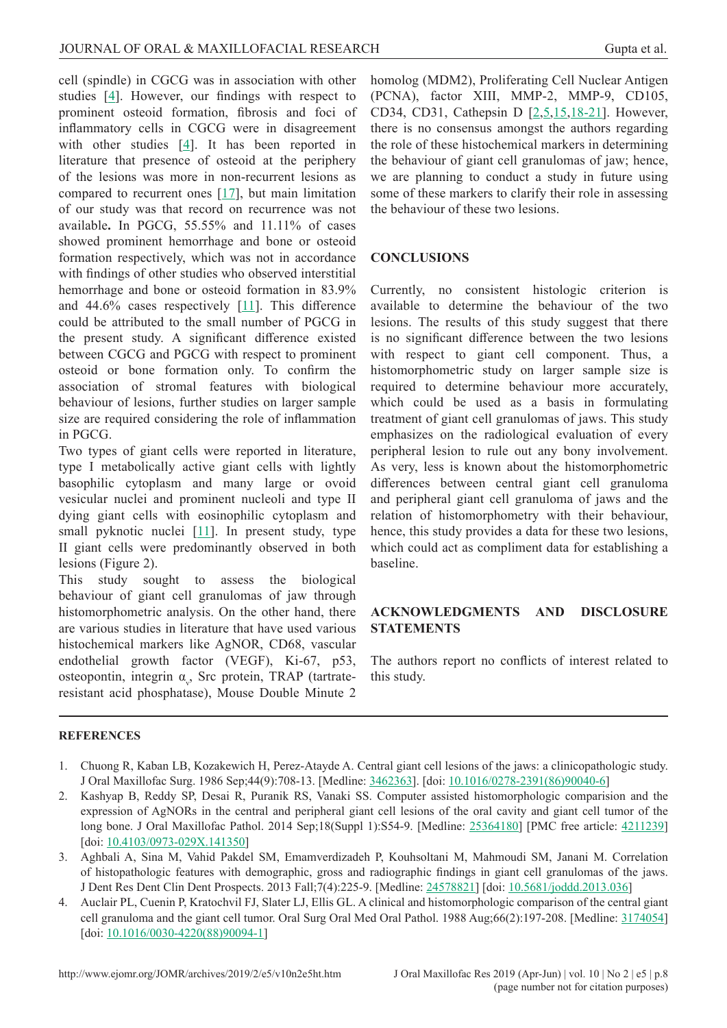<span id="page-7-0"></span>cell (spindle) in CGCG was in association with other studies  $[4]$ . However, our findings with respect to prominent osteoid formation, fibrosis and foci of inflammatory cells in CGCG were in disagreement with other studies  $[4]$ . It has been reported in literature that presence of osteoid at the periphery of the lesions was more in non-recurrent lesions as compared to recurrent ones  $[17]$  $[17]$ , but main limitation of our study was that record on recurrence was not available**.** In PGCG, 55.55% and 11.11% of cases showed prominent hemorrhage and bone or osteoid formation respectively, which was not in accordance with findings of other studies who observed interstitial hemorrhage and bone or osteoid formation in 83.9% and 44.6% cases respectively [\[11](#page-8-0)]. This difference could be attributed to the small number of PGCG in the present study. A significant difference existed between CGCG and PGCG with respect to prominent osteoid or bone formation only. To confirm the association of stromal features with biological behaviour of lesions, further studies on larger sample size are required considering the role of inflammation in PGCG.

Two types of giant cells were reported in literature, type I metabolically active giant cells with lightly basophilic cytoplasm and many large or ovoid vesicular nuclei and prominent nucleoli and type II dying giant cells with eosinophilic cytoplasm and small pyknotic nuclei [[11](#page-8-0)]. In present study, type II giant cells were predominantly observed in both lesions (Figure 2).

This study sought to assess the biological behaviour of giant cell granulomas of jaw through histomorphometric analysis. On the other hand, there are various studies in literature that have used various histochemical markers like AgNOR, CD68, vascular endothelial growth factor (VEGF), Ki-67, p53, osteopontin, integrin  $\alpha_{v}$ , Src protein, TRAP (tartrateresistant acid phosphatase), Mouse Double Minute 2

homolog (MDM2), Proliferating Cell Nuclear Antigen (PCNA), factor XIII, MMP-2, MMP-9, CD105, CD34, CD31, Cathepsin D [2,[5,15,18-21](#page-8-0)]. However, there is no consensus amongst the authors regarding the role of these histochemical markers in determining the behaviour of giant cell granulomas of jaw; hence, we are planning to conduct a study in future using some of these markers to clarify their role in assessing the behaviour of these two lesions.

## **CONCLUSIONS**

Currently, no consistent histologic criterion is available to determine the behaviour of the two lesions. The results of this study suggest that there is no significant difference between the two lesions with respect to giant cell component. Thus, a histomorphometric study on larger sample size is required to determine behaviour more accurately, which could be used as a basis in formulating treatment of giant cell granulomas of jaws. This study emphasizes on the radiological evaluation of every peripheral lesion to rule out any bony involvement. As very, less is known about the histomorphometric differences between central giant cell granuloma and peripheral giant cell granuloma of jaws and the relation of histomorphometry with their behaviour, hence, this study provides a data for these two lesions, which could act as compliment data for establishing a baseline.

## **ACKNOWLEDGMENTS AND DISCLOSURE STATEMENTS**

The authors report no conflicts of interest related to this study.

#### **REFERENCES**

- 1. Chuong R, Kaban LB, Kozakewich H, Perez-Atayde A. Central giant cell lesions of the jaws: a clinicopathologic study. J Oral Maxillofac Surg. 1986 Sep;44(9):708-13. [Medline: [3462363\]](http://www.ncbi.nlm.nih.gov/pubmed/3462363). [doi: [10.1016/0278-2391\(86\)90040-6](https://doi.org/10.1016/0278-2391(86)90040-6)]
- 2. Kashyap B, Reddy SP, Desai R, Puranik RS, Vanaki SS. Computer assisted histomorphologic comparision and the expression of AgNORs in the central and peripheral giant cell lesions of the oral cavity and giant cell tumor of the long bone. J Oral Maxillofac Pathol. 2014 Sep;18(Suppl 1):S54-9. [Medline: [25364180\]](http://www.ncbi.nlm.nih.gov/pubmed/25364180) [PMC free article: [4211239\]](http://www.ncbi.nlm.nih.gov/pmc/articles/PMC4211239) [doi: [10.4103/0973-029X.141350\]](https://doi.org/10.4103/0973-029X.141350)
- 3. Aghbali A, Sina M, Vahid Pakdel SM, Emamverdizadeh P, Kouhsoltani M, Mahmoudi SM, Janani M. Correlation of histopathologic features with demographic, gross and radiographic findings in giant cell granulomas of the jaws. J Dent Res Dent Clin Dent Prospects. 2013 Fall;7(4):225-9. [Medline: [24578821](http://www.ncbi.nlm.nih.gov/pubmed/24578821)] [doi: [10.5681/joddd.2013.036\]](https://doi.org/10.5681/joddd.2013.036)
- 4. Auclair PL, Cuenin P, Kratochvil FJ, Slater LJ, Ellis GL. A clinical and histomorphologic comparison of the central giant cell granuloma and the giant cell tumor. Oral Surg Oral Med Oral Pathol. 1988 Aug;66(2):197-208. [Medline: [3174054\]](http://www.ncbi.nlm.nih.gov/pubmed/3174054) [doi: [10.1016/0030-4220\(88\)90094-1\]](https://doi.org/10.1016/0030-4220(88)90094-1)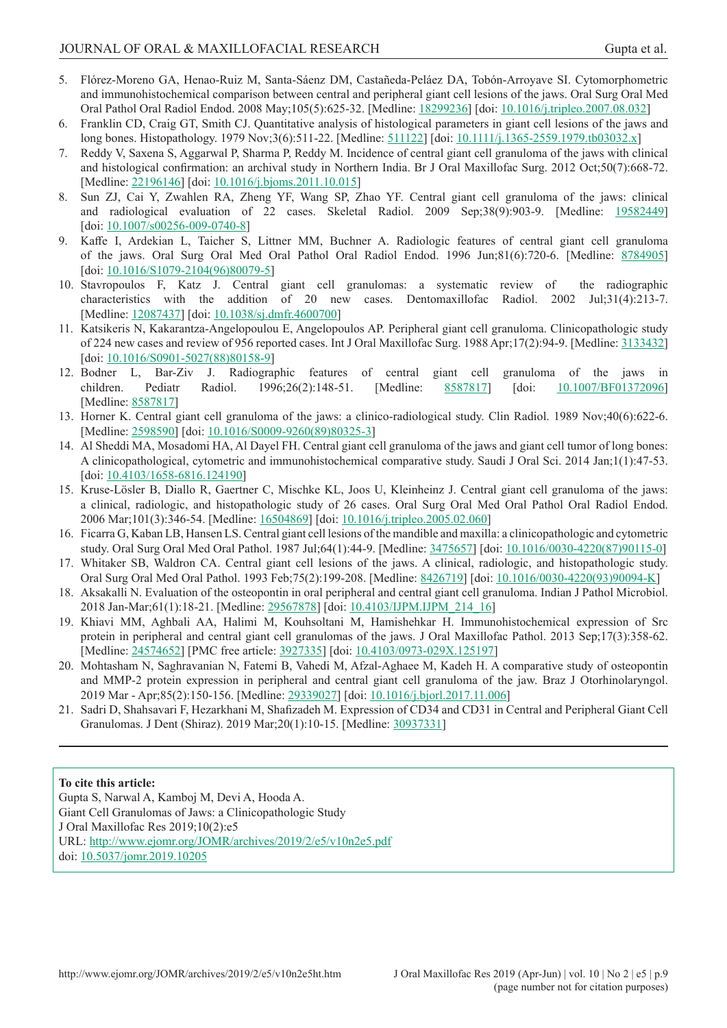- <span id="page-8-0"></span>5. Flórez-Moreno GA, Henao-Ruiz M, Santa-Sáenz DM, Castañeda-Peláez DA, Tobón-Arroyave SI. Cytomorphometric and immunohistochemical comparison between central and peripheral giant cell lesions of the jaws. Oral Surg Oral Med Oral Pathol Oral Radiol Endod. 2008 May;105(5):625-32. [Medline: [18299236](http://www.ncbi.nlm.nih.gov/pubmed/18299236)] [doi: [10.1016/j.tripleo.2007.08.032\]](https://doi.org/10.1016/j.tripleo.2007.08.032)
- 6. Franklin CD, Craig GT, Smith CJ. Quantitative analysis of histological parameters in giant cell lesions of the jaws and long bones. Histopathology. 1979 Nov;3(6):511-22. [Medline: [511122\]](http://www.ncbi.nlm.nih.gov/pubmed/511122) [doi: [10.1111/j.1365-2559.1979.tb03032.x](https://doi.org/10.1111/j.1365-2559.1979.tb03032.x)]
- 7. Reddy V, Saxena S, Aggarwal P, Sharma P, Reddy M. Incidence of central giant cell granuloma of the jaws with clinical and histological confirmation: an archival study in Northern India. Br J Oral Maxillofac Surg. 2012 Oct;50(7):668-72. [Medline: [22196146\]](http://www.ncbi.nlm.nih.gov/pubmed/22196146) [doi: [10.1016/j.bjoms.2011.10.015](https://doi.org/10.1016/j.bjoms.2011.10.015)]
- 8. Sun ZJ, Cai Y, Zwahlen RA, Zheng YF, Wang SP, Zhao YF. Central giant cell granuloma of the jaws: clinical and radiological evaluation of 22 cases. Skeletal Radiol. 2009 Sep;38(9):903-9. [Medline: [19582449\]](http://www.ncbi.nlm.nih.gov/pubmed/19582449) [doi: [10.1007/s00256-009-0740-8\]](https://doi.org/10.1007/s00256-009-0740-8)
- 9. Kaffe I, Ardekian L, Taicher S, Littner MM, Buchner A. Radiologic features of central giant cell granuloma of the jaws. Oral Surg Oral Med Oral Pathol Oral Radiol Endod. 1996 Jun;81(6):720-6. [Medline: [8784905\]](http://www.ncbi.nlm.nih.gov/pubmed/8784905) [doi: [10.1016/S1079-2104\(96\)80079-5\]](https://doi.org/10.1016/S1079-2104(96)80079-5)
- 10. Stavropoulos F, Katz J. Central giant cell granulomas: a systematic review of the radiographic characteristics with the addition of 20 new cases. Dentomaxillofac Radiol. 2002 Jul;31(4):213-7. [Medline: [12087437\]](http://www.ncbi.nlm.nih.gov/pubmed/12087437) [doi: [10.1038/sj.dmfr.4600700](https://doi.org/10.1038/sj.dmfr.4600700)]
- 11. Katsikeris N, Kakarantza-Angelopoulou E, Angelopoulos AP. Peripheral giant cell granuloma. Clinicopathologic study of 224 new cases and review of 956 reported cases. Int J Oral Maxillofac Surg. 1988 Apr;17(2):94-9. [Medline: [3133432\]](http://www.ncbi.nlm.nih.gov/pubmed/3133432) [doi: [10.1016/S0901-5027\(88\)80158-9\]](https://doi.org/10.1016/S0901-5027(88)80158-9)
- 12. Bodner L, Bar-Ziv J. Radiographic features of central giant cell granuloma of the jaws in children. Pediatr Radiol. 1996;26(2):148-51. [Medline: [8587817](http://www.ncbi.nlm.nih.gov/pubmed/8587817)] [doi: [10.1007/BF01372096](https://doi.org/10.1007/BF01372096)] [Medline: [8587817\]](http://www.ncbi.nlm.nih.gov/pubmed/8587817)
- 13. Horner K. Central giant cell granuloma of the jaws: a clinico-radiological study. Clin Radiol. 1989 Nov;40(6):622-6. [Medline: [2598590\]](http://www.ncbi.nlm.nih.gov/pubmed/2598590) [doi: [10.1016/S0009-9260\(89\)80325-3](https://doi.org/10.1016/S0009-9260(89)80325-3)]
- 14. Al Sheddi MA, Mosadomi HA, Al Dayel FH. Central giant cell granuloma of the jaws and giant cell tumor of long bones: A clinicopathological, cytometric and immunohistochemical comparative study. Saudi J Oral Sci. 2014 Jan;1(1):47-53. [doi: [10.4103/1658-6816.124190](https://doi.org/10.4103/1658-6816.124190)]
- 15. Kruse-Lösler B, Diallo R, Gaertner C, Mischke KL, Joos U, Kleinheinz J. Central giant cell granuloma of the jaws: a clinical, radiologic, and histopathologic study of 26 cases. Oral Surg Oral Med Oral Pathol Oral Radiol Endod. 2006 Mar;101(3):346-54. [Medline: [16504869\]](http://www.ncbi.nlm.nih.gov/pubmed/16504869) [doi: [10.1016/j.tripleo.2005.02.060](https://doi.org/10.1016/j.tripleo.2005.02.060)]
- 16. Ficarra G, Kaban LB, Hansen LS. Central giant cell lesions of the mandible and maxilla: a clinicopathologic and cytometric study. Oral Surg Oral Med Oral Pathol. 1987 Jul;64(1):44-9. [Medline: [3475657](http://www.ncbi.nlm.nih.gov/pubmed/3475657)] [doi: [10.1016/0030-4220\(87\)90115-0\]](https://doi.org/10.1016/0030-4220(87)90115-0)
- 17. Whitaker SB, Waldron CA. Central giant cell lesions of the jaws. A clinical, radiologic, and histopathologic study. Oral Surg Oral Med Oral Pathol. 1993 Feb;75(2):199-208. [Medline: [8426719](http://www.ncbi.nlm.nih.gov/pubmed/8426719)] [doi: [10.1016/0030-4220\(93\)90094-K](https://doi.org/10.1016/0030-4220(93)90094-K)]
- 18. Aksakalli N. Evaluation of the osteopontin in oral peripheral and central giant cell granuloma. Indian J Pathol Microbiol. 2018 Jan-Mar;61(1):18-21. [Medline: [29567878](http://www.ncbi.nlm.nih.gov/pubmed/29567878)] [doi: [10.4103/IJPM.IJPM\\_214\\_16\]](https://doi.org/10.4103/IJPM.IJPM_214_16)
- 19. Khiavi MM, Aghbali AA, Halimi M, Kouhsoltani M, Hamishehkar H. Immunohistochemical expression of Src protein in peripheral and central giant cell granulomas of the jaws. J Oral Maxillofac Pathol. 2013 Sep;17(3):358-62. [Medline: [24574652\]](http://www.ncbi.nlm.nih.gov/pubmed/24574652) [PMC free article: [3927335](http://www.ncbi.nlm.nih.gov/pmc/articles/PMC3927335)] [doi: [10.4103/0973-029X.125197\]](https://doi.org/10.4103/0973-029X.125197)
- 20. Mohtasham N, Saghravanian N, Fatemi B, Vahedi M, Afzal-Aghaee M, Kadeh H. A comparative study of osteopontin and MMP-2 protein expression in peripheral and central giant cell granuloma of the jaw. Braz J Otorhinolaryngol. 2019 Mar - Apr;85(2):150-156. [Medline: [29339027\]](http://www.ncbi.nlm.nih.gov/pubmed/29339027) [doi: [10.1016/j.bjorl.2017.11.006\]](https://doi.org/10.1016/j.bjorl.2017.11.006)
- 21. Sadri D, Shahsavari F, Hezarkhani M, Shafizadeh M. Expression of CD34 and CD31 in Central and Peripheral Giant Cell Granulomas. J Dent (Shiraz). 2019 Mar;20(1):10-15. [Medline: [30937331](http://www.ncbi.nlm.nih.gov/pubmed/30937331)]

#### **To cite this article:**

Gupta S, Narwal A, Kamboj M, Devi A, Hooda A. Giant Cell Granulomas of Jaws: a Clinicopathologic Study J Oral Maxillofac Res 2019;10(2):e5 URL:<http://www.ejomr.org/JOMR/archives/2019/2/e5/v10n2e5.pdf> doi: [10.5037/jomr.2019.10205](http://dx.doi.org/10.5037/jomr.2019.10205)